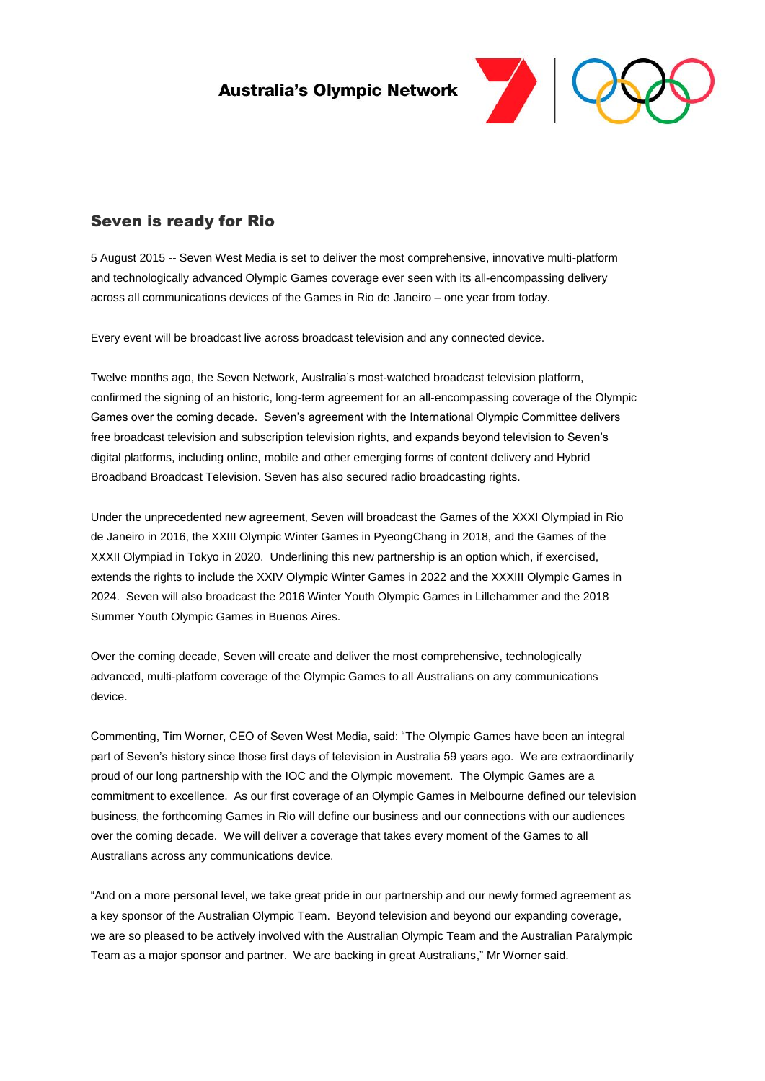**Australia's Olympic Network** 



## Seven is ready for Rio

5 August 2015 -- Seven West Media is set to deliver the most comprehensive, innovative multi-platform and technologically advanced Olympic Games coverage ever seen with its all-encompassing delivery across all communications devices of the Games in Rio de Janeiro – one year from today.

Every event will be broadcast live across broadcast television and any connected device.

Twelve months ago, the Seven Network, Australia's most-watched broadcast television platform, confirmed the signing of an historic, long-term agreement for an all-encompassing coverage of the Olympic Games over the coming decade. Seven's agreement with the International Olympic Committee delivers free broadcast television and subscription television rights, and expands beyond television to Seven's digital platforms, including online, mobile and other emerging forms of content delivery and Hybrid Broadband Broadcast Television. Seven has also secured radio broadcasting rights.

Under the unprecedented new agreement, Seven will broadcast the Games of the XXXI Olympiad in Rio de Janeiro in 2016, the XXIII Olympic Winter Games in PyeongChang in 2018, and the Games of the XXXII Olympiad in Tokyo in 2020. Underlining this new partnership is an option which, if exercised, extends the rights to include the XXIV Olympic Winter Games in 2022 and the XXXIII Olympic Games in 2024. Seven will also broadcast the 2016 Winter Youth Olympic Games in Lillehammer and the 2018 Summer Youth Olympic Games in Buenos Aires.

Over the coming decade, Seven will create and deliver the most comprehensive, technologically advanced, multi-platform coverage of the Olympic Games to all Australians on any communications device.

Commenting, Tim Worner, CEO of Seven West Media, said: "The Olympic Games have been an integral part of Seven's history since those first days of television in Australia 59 years ago. We are extraordinarily proud of our long partnership with the IOC and the Olympic movement. The Olympic Games are a commitment to excellence. As our first coverage of an Olympic Games in Melbourne defined our television business, the forthcoming Games in Rio will define our business and our connections with our audiences over the coming decade. We will deliver a coverage that takes every moment of the Games to all Australians across any communications device.

"And on a more personal level, we take great pride in our partnership and our newly formed agreement as a key sponsor of the Australian Olympic Team. Beyond television and beyond our expanding coverage, we are so pleased to be actively involved with the Australian Olympic Team and the Australian Paralympic Team as a major sponsor and partner. We are backing in great Australians," Mr Worner said.